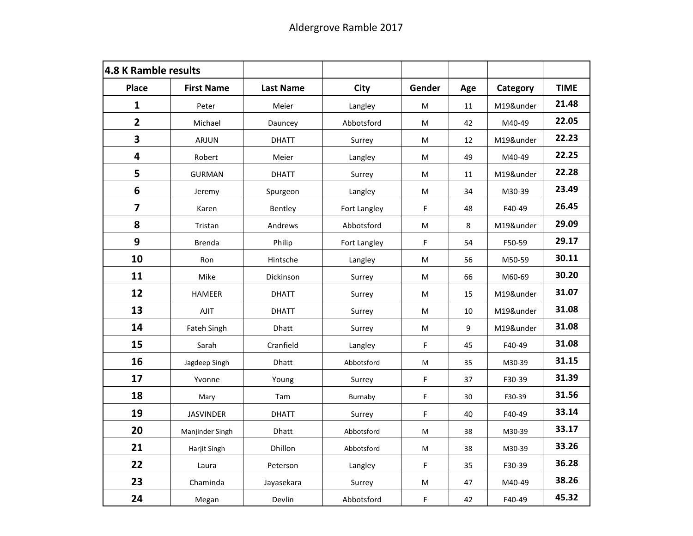| <b>4.8 K Ramble results</b> |                   |                  |              |                                                                                                            |       |           |             |
|-----------------------------|-------------------|------------------|--------------|------------------------------------------------------------------------------------------------------------|-------|-----------|-------------|
| <b>Place</b>                | <b>First Name</b> | <b>Last Name</b> | City         | Gender                                                                                                     | Age   | Category  | <b>TIME</b> |
| 1                           | Peter             | Meier            | Langley      | ${\sf M}$                                                                                                  | 11    | M19&under | 21.48       |
| $\overline{2}$              | Michael           | Dauncey          | Abbotsford   | M                                                                                                          | 42    | M40-49    | 22.05       |
| 3                           | ARJUN             | <b>DHATT</b>     | Surrey       | M                                                                                                          | 12    | M19&under | 22.23       |
| 4                           | Robert            | Meier            | Langley      | ${\sf M}$                                                                                                  | 49    | M40-49    | 22.25       |
| 5                           | <b>GURMAN</b>     | <b>DHATT</b>     | Surrey       | $\mathsf{M}% _{T}=\mathsf{M}_{T}\!\left( a,b\right) ,\ \mathsf{M}_{T}=\mathsf{M}_{T}\!\left( a,b\right) ,$ | 11    | M19&under | 22.28       |
| $\boldsymbol{6}$            | Jeremy            | Spurgeon         | Langley      | ${\sf M}$                                                                                                  | 34    | M30-39    | 23.49       |
| $\overline{\mathbf{z}}$     | Karen             | Bentley          | Fort Langley | F                                                                                                          | 48    | F40-49    | 26.45       |
| 8                           | Tristan           | Andrews          | Abbotsford   | $\mathsf{M}% _{T}=\mathsf{M}_{T}\!\left( a,b\right) ,\ \mathsf{M}_{T}=\mathsf{M}_{T}\!\left( a,b\right) ,$ | 8     | M19&under | 29.09       |
| 9                           | <b>Brenda</b>     | Philip           | Fort Langley | $\mathsf F$                                                                                                | 54    | F50-59    | 29.17       |
| 10                          | Ron               | Hintsche         | Langley      | M                                                                                                          | 56    | M50-59    | 30.11       |
| 11                          | Mike              | Dickinson        | Surrey       | ${\sf M}$                                                                                                  | 66    | M60-69    | 30.20       |
| 12                          | HAMEER            | <b>DHATT</b>     | Surrey       | М                                                                                                          | 15    | M19&under | 31.07       |
| 13                          | AJIT              | <b>DHATT</b>     | Surrey       | $\mathsf{M}% _{T}=\mathsf{M}_{T}\!\left( a,b\right) ,\ \mathsf{M}_{T}=\mathsf{M}_{T}$                      | 10    | M19&under | 31.08       |
| 14                          | Fateh Singh       | Dhatt            | Surrey       | ${\sf M}$                                                                                                  | $9\,$ | M19&under | 31.08       |
| 15                          | Sarah             | Cranfield        | Langley      | F                                                                                                          | 45    | F40-49    | 31.08       |
| 16                          | Jagdeep Singh     | <b>Dhatt</b>     | Abbotsford   | $\mathsf{M}$                                                                                               | 35    | M30-39    | 31.15       |
| 17                          | Yvonne            | Young            | Surrey       | F                                                                                                          | 37    | F30-39    | 31.39       |
| 18                          | Mary              | Tam              | Burnaby      | F                                                                                                          | 30    | F30-39    | 31.56       |
| 19                          | <b>JASVINDER</b>  | <b>DHATT</b>     | Surrey       | F                                                                                                          | 40    | F40-49    | 33.14       |
| 20                          | Manjinder Singh   | Dhatt            | Abbotsford   | M                                                                                                          | 38    | M30-39    | 33.17       |
| 21                          | Harjit Singh      | Dhillon          | Abbotsford   | M                                                                                                          | 38    | M30-39    | 33.26       |
| 22                          | Laura             | Peterson         | Langley      | $\mathsf F$                                                                                                | 35    | F30-39    | 36.28       |
| 23                          | Chaminda          | Jayasekara       | Surrey       | $\mathsf{M}% _{T}=\mathsf{M}_{T}\!\left( a,b\right) ,\ \mathsf{M}_{T}=\mathsf{M}_{T}\!\left( a,b\right) ,$ | 47    | M40-49    | 38.26       |
| 24                          | Megan             | Devlin           | Abbotsford   | F                                                                                                          | 42    | F40-49    | 45.32       |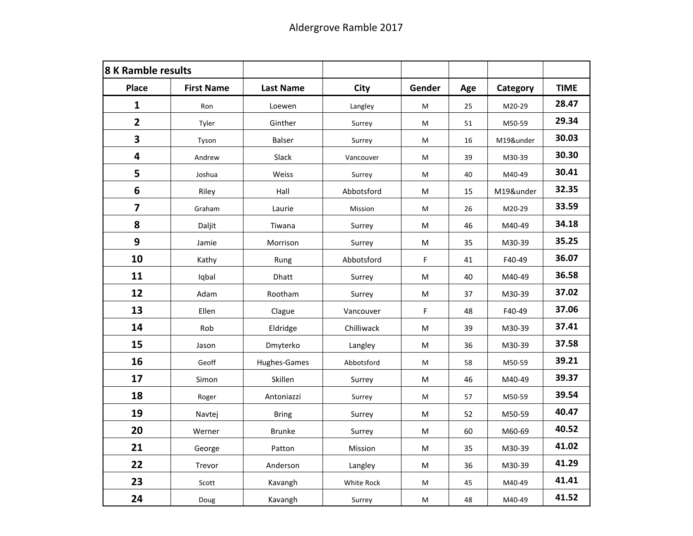| <b>8 K Ramble results</b> |                   |                  |            |                                                                                                            |     |           |             |
|---------------------------|-------------------|------------------|------------|------------------------------------------------------------------------------------------------------------|-----|-----------|-------------|
| <b>Place</b>              | <b>First Name</b> | <b>Last Name</b> | City       | Gender                                                                                                     | Age | Category  | <b>TIME</b> |
| 1                         | Ron               | Loewen           | Langley    | M                                                                                                          | 25  | M20-29    | 28.47       |
| $\overline{2}$            | Tyler             | Ginther          | Surrey     | ${\sf M}$                                                                                                  | 51  | M50-59    | 29.34       |
| 3                         | Tyson             | <b>Balser</b>    | Surrey     | M                                                                                                          | 16  | M19&under | 30.03       |
| 4                         | Andrew            | Slack            | Vancouver  | M                                                                                                          | 39  | M30-39    | 30.30       |
| 5                         | Joshua            | Weiss            | Surrey     | M                                                                                                          | 40  | M40-49    | 30.41       |
| $\boldsymbol{6}$          | Riley             | Hall             | Abbotsford | $\mathsf{M}% _{T}=\mathsf{M}_{T}\!\left( a,b\right) ,\ \mathsf{M}_{T}=\mathsf{M}_{T}\!\left( a,b\right) ,$ | 15  | M19&under | 32.35       |
| $\overline{\mathbf{z}}$   | Graham            | Laurie           | Mission    | $\sf M$                                                                                                    | 26  | M20-29    | 33.59       |
| 8                         | Daljit            | Tiwana           | Surrey     | $\mathsf{M}% _{T}=\mathsf{M}_{T}\!\left( a,b\right) ,\ \mathsf{M}_{T}=\mathsf{M}_{T}\!\left( a,b\right) ,$ | 46  | M40-49    | 34.18       |
| 9                         | Jamie             | Morrison         | Surrey     | ${\sf M}$                                                                                                  | 35  | M30-39    | 35.25       |
| 10                        | Kathy             | Rung             | Abbotsford | F                                                                                                          | 41  | F40-49    | 36.07       |
| 11                        | Iqbal             | Dhatt            | Surrey     | ${\sf M}$                                                                                                  | 40  | M40-49    | 36.58       |
| 12                        | Adam              | Rootham          | Surrey     | ${\sf M}$                                                                                                  | 37  | M30-39    | 37.02       |
| 13                        | Ellen             | Clague           | Vancouver  | F                                                                                                          | 48  | F40-49    | 37.06       |
| 14                        | Rob               | Eldridge         | Chilliwack | $\mathsf{M}% _{T}=\mathsf{M}_{T}\!\left( a,b\right) ,\ \mathsf{M}_{T}=\mathsf{M}_{T}\!\left( a,b\right) ,$ | 39  | M30-39    | 37.41       |
| 15                        | Jason             | Dmyterko         | Langley    | M                                                                                                          | 36  | M30-39    | 37.58       |
| 16                        | Geoff             | Hughes-Games     | Abbotsford | ${\sf M}$                                                                                                  | 58  | M50-59    | 39.21       |
| 17                        | Simon             | Skillen          | Surrey     | $\mathsf{M}% _{T}=\mathsf{M}_{T}\!\left( a,b\right) ,\ \mathsf{M}_{T}=\mathsf{M}_{T}\!\left( a,b\right) ,$ | 46  | M40-49    | 39.37       |
| 18                        | Roger             | Antoniazzi       | Surrey     | $\sf M$                                                                                                    | 57  | M50-59    | 39.54       |
| 19                        | Navtej            | <b>Bring</b>     | Surrey     | ${\sf M}$                                                                                                  | 52  | M50-59    | 40.47       |
| 20                        | Werner            | <b>Brunke</b>    | Surrey     | ${\sf M}$                                                                                                  | 60  | M60-69    | 40.52       |
| 21                        | George            | Patton           | Mission    | M                                                                                                          | 35  | M30-39    | 41.02       |
| 22                        | Trevor            | Anderson         | Langley    | ${\sf M}$                                                                                                  | 36  | M30-39    | 41.29       |
| 23                        | Scott             | Kavangh          | White Rock | M                                                                                                          | 45  | M40-49    | 41.41       |
| 24                        | Doug              | Kavangh          | Surrey     | M                                                                                                          | 48  | M40-49    | 41.52       |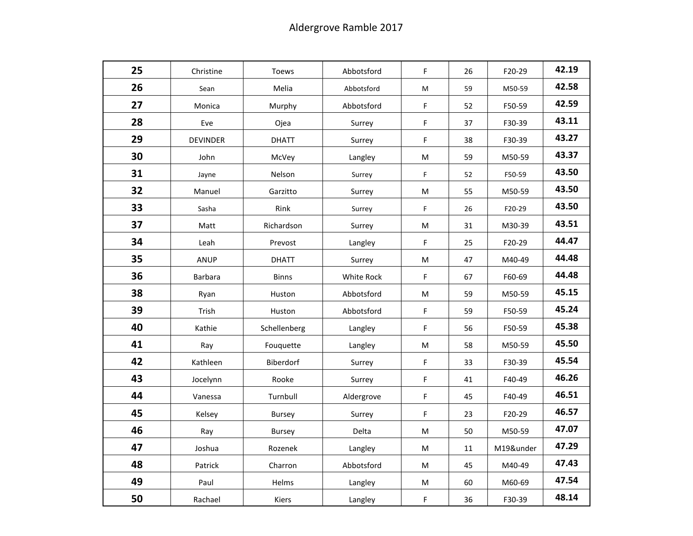| 25 | Christine       | Toews         | Abbotsford | F                                                                                                          | 26 | F20-29    | 42.19 |
|----|-----------------|---------------|------------|------------------------------------------------------------------------------------------------------------|----|-----------|-------|
| 26 | Sean            | Melia         | Abbotsford | M                                                                                                          | 59 | M50-59    | 42.58 |
| 27 | Monica          | Murphy        | Abbotsford | F                                                                                                          | 52 | F50-59    | 42.59 |
| 28 | Eve             | Ojea          | Surrey     | F                                                                                                          | 37 | F30-39    | 43.11 |
| 29 | <b>DEVINDER</b> | <b>DHATT</b>  | Surrey     | F                                                                                                          | 38 | F30-39    | 43.27 |
| 30 | John            | McVey         | Langley    | $\mathsf{M}% _{T}=\mathsf{M}_{T}\!\left( a,b\right) ,\ \mathsf{M}_{T}=\mathsf{M}_{T}\!\left( a,b\right) ,$ | 59 | M50-59    | 43.37 |
| 31 | Jayne           | Nelson        | Surrey     | F                                                                                                          | 52 | F50-59    | 43.50 |
| 32 | Manuel          | Garzitto      | Surrey     | $\sf M$                                                                                                    | 55 | M50-59    | 43.50 |
| 33 | Sasha           | Rink          | Surrey     | F                                                                                                          | 26 | F20-29    | 43.50 |
| 37 | Matt            | Richardson    | Surrey     | M                                                                                                          | 31 | M30-39    | 43.51 |
| 34 | Leah            | Prevost       | Langley    | F                                                                                                          | 25 | F20-29    | 44.47 |
| 35 | <b>ANUP</b>     | <b>DHATT</b>  | Surrey     | $\mathsf{M}% _{T}=\mathsf{M}_{T}\!\left( a,b\right) ,\ \mathsf{M}_{T}=\mathsf{M}_{T}\!\left( a,b\right) ,$ | 47 | M40-49    | 44.48 |
| 36 | <b>Barbara</b>  | <b>Binns</b>  | White Rock | $\mathsf F$                                                                                                | 67 | F60-69    | 44.48 |
| 38 | Ryan            | Huston        | Abbotsford | М                                                                                                          | 59 | M50-59    | 45.15 |
| 39 | Trish           | Huston        | Abbotsford | F                                                                                                          | 59 | F50-59    | 45.24 |
| 40 | Kathie          | Schellenberg  | Langley    | F                                                                                                          | 56 | F50-59    | 45.38 |
| 41 | Ray             | Fouquette     | Langley    | M                                                                                                          | 58 | M50-59    | 45.50 |
| 42 | Kathleen        | Biberdorf     | Surrey     | F                                                                                                          | 33 | F30-39    | 45.54 |
| 43 | Jocelynn        | Rooke         | Surrey     | F                                                                                                          | 41 | F40-49    | 46.26 |
| 44 | Vanessa         | Turnbull      | Aldergrove | F                                                                                                          | 45 | F40-49    | 46.51 |
| 45 | Kelsey          | <b>Bursey</b> | Surrey     | F                                                                                                          | 23 | F20-29    | 46.57 |
| 46 | Ray             | <b>Bursey</b> | Delta      | $\mathsf{M}% _{T}=\mathsf{M}_{T}\!\left( a,b\right) ,\ \mathsf{M}_{T}=\mathsf{M}_{T}$                      | 50 | M50-59    | 47.07 |
| 47 | Joshua          | Rozenek       | Langley    | M                                                                                                          | 11 | M19&under | 47.29 |
| 48 | Patrick         | Charron       | Abbotsford | $\mathsf{M}% _{T}=\mathsf{M}_{T}\!\left( a,b\right) ,\ \mathsf{M}_{T}=\mathsf{M}_{T}\!\left( a,b\right) ,$ | 45 | M40-49    | 47.43 |
| 49 | Paul            | Helms         | Langley    | $\mathsf{M}% _{T}=\mathsf{M}_{T}\!\left( a,b\right) ,\ \mathsf{M}_{T}=\mathsf{M}_{T}\!\left( a,b\right) ,$ | 60 | M60-69    | 47.54 |
| 50 | Rachael         | Kiers         | Langley    | F                                                                                                          | 36 | F30-39    | 48.14 |
|    |                 |               |            |                                                                                                            |    |           |       |